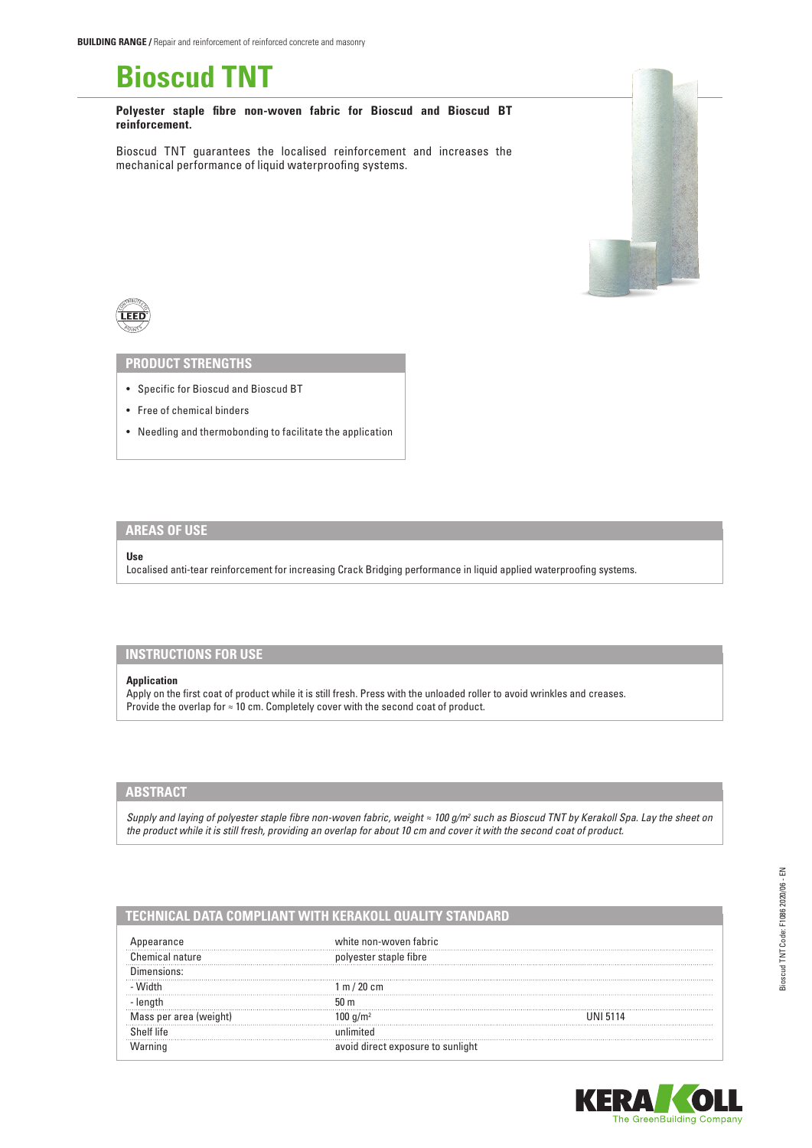

**Polyester staple fibre non-woven fabric for Bioscud and Bioscud BT reinforcement.**

Bioscud TNT guarantees the localised reinforcement and increases the mechanical performance of liquid waterproofing systems.



### **PRODUCT STRENGTHS**

- Specific for Bioscud and Bioscud BT
- Free of chemical binders
- Needling and thermobonding to facilitate the application

# **AREAS OF USE**

#### **Use**

Localised anti-tear reinforcement for increasing Crack Bridging performance in liquid applied waterproofing systems.

## **INSTRUCTIONS FOR USE**

#### **Application**

Apply on the first coat of product while it is still fresh. Press with the unloaded roller to avoid wrinkles and creases. Provide the overlap for ≈ 10 cm. Completely cover with the second coat of product.

### **ABSTRACT**

*Supply and laying of polyester staple fibre non-woven fabric, weight ≈ 100 g/m<sup>2</sup> such as Bioscud TNT by Kerakoll Spa. Lay the sheet on the product while it is still fresh, providing an overlap for about 10 cm and cover it with the second coat of product.*

### **TECHNICAL DATA COMPLIANT WITH KERAKOLL QUALITY STANDARD**

|       | white non-woven fabric   |      |
|-------|--------------------------|------|
| ature | ester stable fibre!      |      |
|       |                          |      |
|       | . m / 20 cm              |      |
|       | 50 <sub>m</sub>          |      |
|       |                          | 5114 |
|       |                          |      |
|       | id direct exposure to su |      |